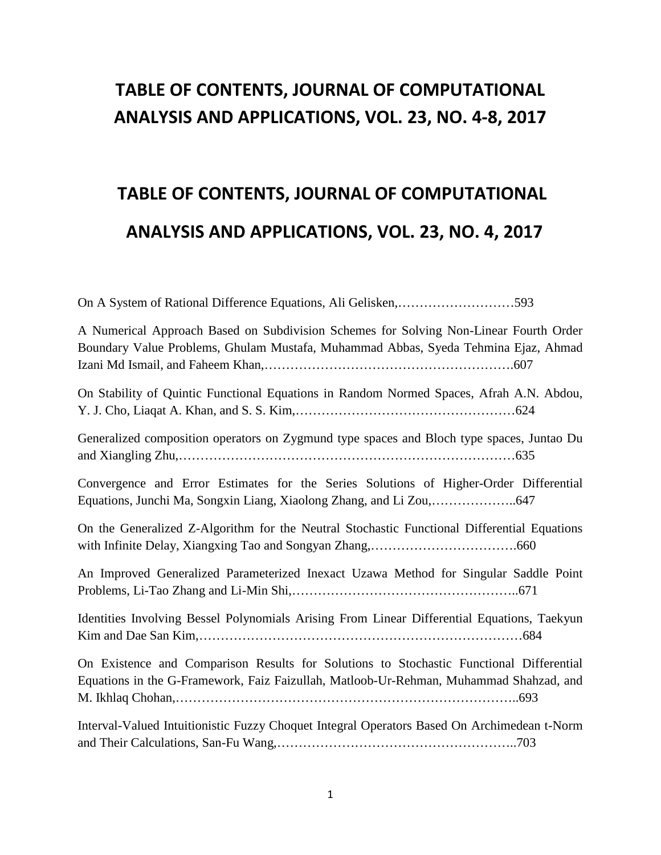## **TABLE OF CONTENTS, JOURNAL OF COMPUTATIONAL ANALYSIS AND APPLICATIONS, VOL. 23, NO. 4-8, 2017**

# **TABLE OF CONTENTS, JOURNAL OF COMPUTATIONAL ANALYSIS AND APPLICATIONS, VOL. 23, NO. 4, 2017**

| On A System of Rational Difference Equations, Ali Gelisken, 593                                                                                                                   |
|-----------------------------------------------------------------------------------------------------------------------------------------------------------------------------------|
| A Numerical Approach Based on Subdivision Schemes for Solving Non-Linear Fourth Order<br>Boundary Value Problems, Ghulam Mustafa, Muhammad Abbas, Syeda Tehmina Ejaz, Ahmad       |
| On Stability of Quintic Functional Equations in Random Normed Spaces, Afrah A.N. Abdou,                                                                                           |
| Generalized composition operators on Zygmund type spaces and Bloch type spaces, Juntao Du                                                                                         |
| Convergence and Error Estimates for the Series Solutions of Higher-Order Differential                                                                                             |
| On the Generalized Z-Algorithm for the Neutral Stochastic Functional Differential Equations                                                                                       |
| An Improved Generalized Parameterized Inexact Uzawa Method for Singular Saddle Point                                                                                              |
| Identities Involving Bessel Polynomials Arising From Linear Differential Equations, Taekyun                                                                                       |
| On Existence and Comparison Results for Solutions to Stochastic Functional Differential<br>Equations in the G-Framework, Faiz Faizullah, Matloob-Ur-Rehman, Muhammad Shahzad, and |
| Interval-Valued Intuitionistic Fuzzy Choquet Integral Operators Based On Archimedean t-Norm                                                                                       |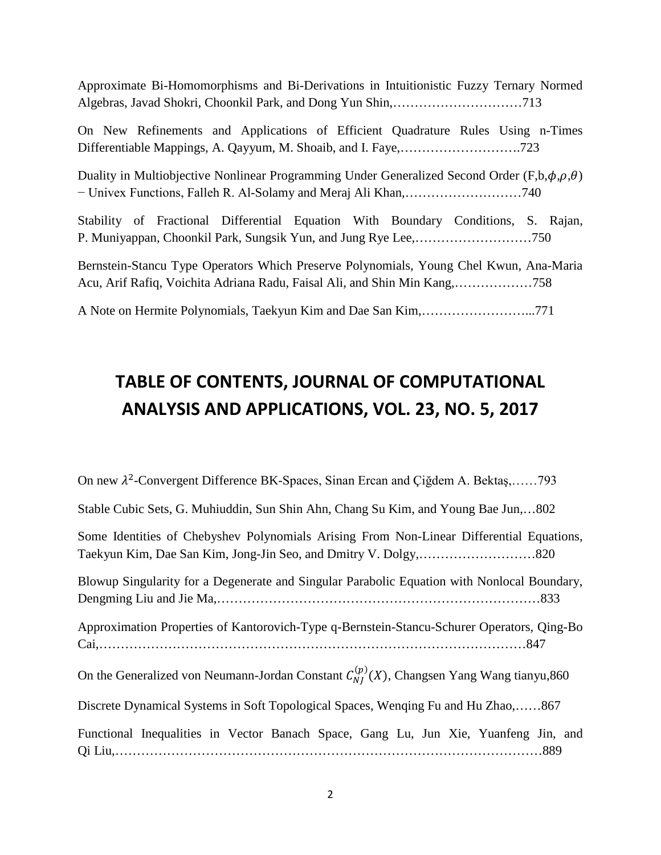Approximate Bi-Homomorphisms and Bi-Derivations in Intuitionistic Fuzzy Ternary Normed Algebras, Javad Shokri, Choonkil Park, and Dong Yun Shin,…………………………713

On New Refinements and Applications of Efficient Quadrature Rules Using n-Times Differentiable Mappings, A. Qayyum, M. Shoaib, and I. Faye,……………………….723

Duality in Multiobjective Nonlinear Programming Under Generalized Second Order (F,b, $\phi, \rho, \theta$ ) − Univex Functions, Falleh R. Al-Solamy and Meraj Ali Khan,………………………740

|  |  |  | Stability of Fractional Differential Equation With Boundary Conditions, S. Rajan, |  |
|--|--|--|-----------------------------------------------------------------------------------|--|
|  |  |  |                                                                                   |  |

Bernstein-Stancu Type Operators Which Preserve Polynomials, Young Chel Kwun, Ana-Maria Acu, Arif Rafiq, Voichita Adriana Radu, Faisal Ali, and Shin Min Kang,………………758

A Note on Hermite Polynomials, Taekyun Kim and Dae San Kim,……………………...771

## **TABLE OF CONTENTS, JOURNAL OF COMPUTATIONAL ANALYSIS AND APPLICATIONS, VOL. 23, NO. 5, 2017**

On new  $\lambda^2$ -Convergent Difference BK-Spaces, Sinan Ercan and Çiğdem A. Bektaş,......793 Stable Cubic Sets, G. Muhiuddin, Sun Shin Ahn, Chang Su Kim, and Young Bae Jun,…802 Some Identities of Chebyshev Polynomials Arising From Non-Linear Differential Equations, Taekyun Kim, Dae San Kim, Jong-Jin Seo, and Dmitry V. Dolgy,………………………820 Blowup Singularity for a Degenerate and Singular Parabolic Equation with Nonlocal Boundary, Dengming Liu and Jie Ma,…………………………………………………………………833 Approximation Properties of Kantorovich-Type q-Bernstein-Stancu-Schurer Operators, Qing-Bo Cai,………………………………………………………………………………………847 On the Generalized von Neumann-Jordan Constant  $C_{N}^{(p)}(X)$ , Changsen Yang Wang tianyu,860 Discrete Dynamical Systems in Soft Topological Spaces, Wenqing Fu and Hu Zhao,……867 Functional Inequalities in Vector Banach Space, Gang Lu, Jun Xie, Yuanfeng Jin, and Qi Liu,………………………………………………………………………………………889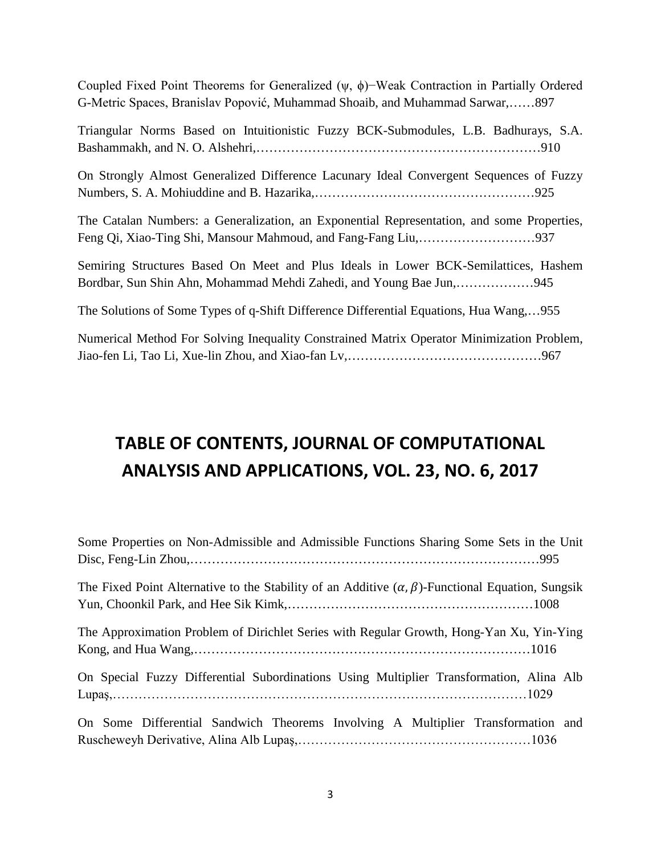Coupled Fixed Point Theorems for Generalized (ψ, ϕ)−Weak Contraction in Partially Ordered G-Metric Spaces, Branislav Popović, Muhammad Shoaib, and Muhammad Sarwar,……897

Triangular Norms Based on Intuitionistic Fuzzy BCK-Submodules, L.B. Badhurays, S.A. Bashammakh, and N. O. Alshehri,…………………………………………………………910

On Strongly Almost Generalized Difference Lacunary Ideal Convergent Sequences of Fuzzy Numbers, S. A. Mohiuddine and B. Hazarika,……………………………………………925

The Catalan Numbers: a Generalization, an Exponential Representation, and some Properties, Feng Qi, Xiao-Ting Shi, Mansour Mahmoud, and Fang-Fang Liu,………………………937

Semiring Structures Based On Meet and Plus Ideals in Lower BCK-Semilattices, Hashem Bordbar, Sun Shin Ahn, Mohammad Mehdi Zahedi, and Young Bae Jun,………………945

The Solutions of Some Types of q-Shift Difference Differential Equations, Hua Wang,…955

Numerical Method For Solving Inequality Constrained Matrix Operator Minimization Problem, Jiao-fen Li, Tao Li, Xue-lin Zhou, and Xiao-fan Lv,………………………………………967

## **TABLE OF CONTENTS, JOURNAL OF COMPUTATIONAL ANALYSIS AND APPLICATIONS, VOL. 23, NO. 6, 2017**

| Some Properties on Non-Admissible and Admissible Functions Sharing Some Sets in the Unit                    |  |
|-------------------------------------------------------------------------------------------------------------|--|
| The Fixed Point Alternative to the Stability of an Additive $(\alpha, \beta)$ -Functional Equation, Sungsik |  |
| The Approximation Problem of Dirichlet Series with Regular Growth, Hong-Yan Xu, Yin-Ying                    |  |
| On Special Fuzzy Differential Subordinations Using Multiplier Transformation, Alina Alb                     |  |
| On Some Differential Sandwich Theorems Involving A Multiplier Transformation and                            |  |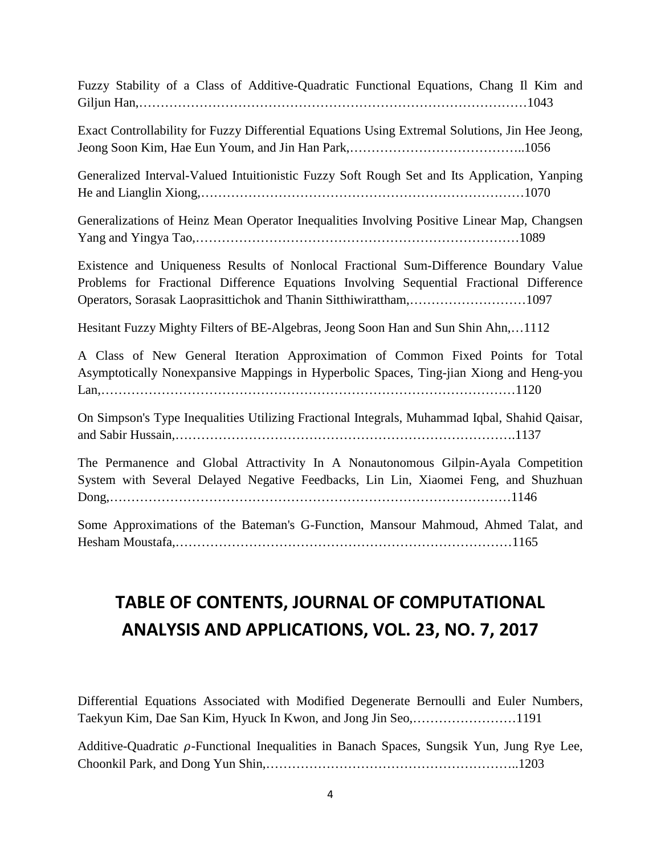Fuzzy Stability of a Class of Additive-Quadratic Functional Equations, Chang Il Kim and Giljun Han,………………………………………………………………………………1043

Exact Controllability for Fuzzy Differential Equations Using Extremal Solutions, Jin Hee Jeong, Jeong Soon Kim, Hae Eun Youm, and Jin Han Park,…………………………………..1056

Generalized Interval-Valued Intuitionistic Fuzzy Soft Rough Set and Its Application, Yanping He and Lianglin Xiong,…………………………………………………………………1070

Generalizations of Heinz Mean Operator Inequalities Involving Positive Linear Map, Changsen Yang and Yingya Tao,…………………………………………………………………1089

Existence and Uniqueness Results of Nonlocal Fractional Sum-Difference Boundary Value Problems for Fractional Difference Equations Involving Sequential Fractional Difference Operators, Sorasak Laoprasittichok and Thanin Sitthiwirattham,………………………1097

Hesitant Fuzzy Mighty Filters of BE-Algebras, Jeong Soon Han and Sun Shin Ahn,…1112

A Class of New General Iteration Approximation of Common Fixed Points for Total Asymptotically Nonexpansive Mappings in Hyperbolic Spaces, Ting-jian Xiong and Heng-you Lan,……………………………………………………………………………………1120

On Simpson's Type Inequalities Utilizing Fractional Integrals, Muhammad Iqbal, Shahid Qaisar, and Sabir Hussain,…………………………………………………………………….1137

The Permanence and Global Attractivity In A Nonautonomous Gilpin-Ayala Competition System with Several Delayed Negative Feedbacks, Lin Lin, Xiaomei Feng, and Shuzhuan Dong,…………………………………………………………………………………1146

Some Approximations of the Bateman's G-Function, Mansour Mahmoud, Ahmed Talat, and Hesham Moustafa,……………………………………………………………………1165

## **TABLE OF CONTENTS, JOURNAL OF COMPUTATIONAL ANALYSIS AND APPLICATIONS, VOL. 23, NO. 7, 2017**

Differential Equations Associated with Modified Degenerate Bernoulli and Euler Numbers, Taekyun Kim, Dae San Kim, Hyuck In Kwon, and Jong Jin Seo,……………………1191

Additive-Quadratic  $\rho$ -Functional Inequalities in Banach Spaces, Sungsik Yun, Jung Rye Lee, Choonkil Park, and Dong Yun Shin,…………………………………………………..1203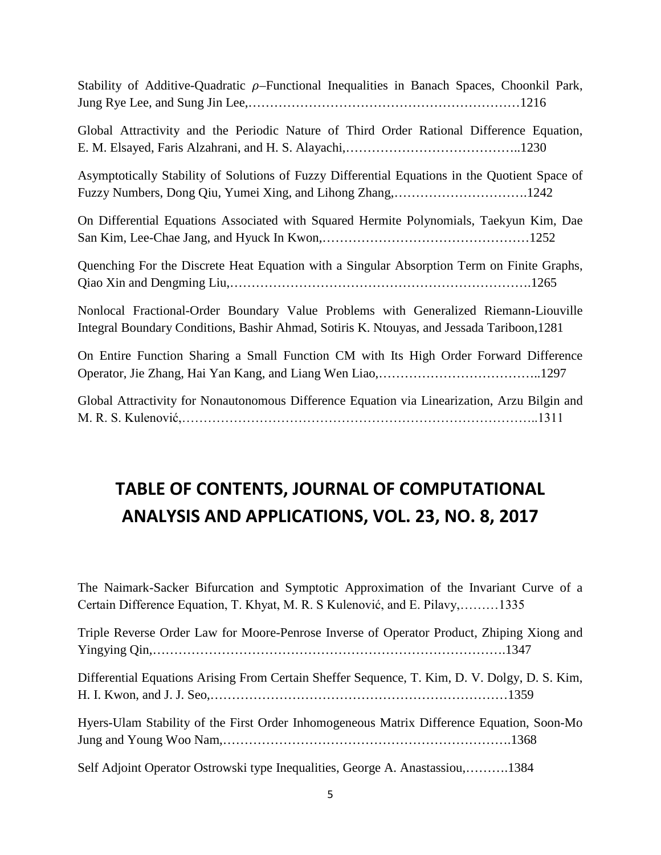| Stability of Additive-Quadratic $\rho$ -Functional Inequalities in Banach Spaces, Choonkil Park, |  |  |  |  |
|--------------------------------------------------------------------------------------------------|--|--|--|--|
|                                                                                                  |  |  |  |  |

Global Attractivity and the Periodic Nature of Third Order Rational Difference Equation, E. M. Elsayed, Faris Alzahrani, and H. S. Alayachi,…………………………………..1230

Asymptotically Stability of Solutions of Fuzzy Differential Equations in the Quotient Space of Fuzzy Numbers, Dong Qiu, Yumei Xing, and Lihong Zhang,………………………….1242

On Differential Equations Associated with Squared Hermite Polynomials, Taekyun Kim, Dae San Kim, Lee-Chae Jang, and Hyuck In Kwon,…………………………………………1252

Quenching For the Discrete Heat Equation with a Singular Absorption Term on Finite Graphs, Qiao Xin and Dengming Liu,…………………………………………………………….1265

Nonlocal Fractional-Order Boundary Value Problems with Generalized Riemann-Liouville Integral Boundary Conditions, Bashir Ahmad, Sotiris K. Ntouyas, and Jessada Tariboon,1281

On Entire Function Sharing a Small Function CM with Its High Order Forward Difference Operator, Jie Zhang, Hai Yan Kang, and Liang Wen Liao,………………………………..1297

Global Attractivity for Nonautonomous Difference Equation via Linearization, Arzu Bilgin and M. R. S. Kulenović,………………………………………………………………………..1311

### **TABLE OF CONTENTS, JOURNAL OF COMPUTATIONAL ANALYSIS AND APPLICATIONS, VOL. 23, NO. 8, 2017**

| The Naimark-Sacker Bifurcation and Symptotic Approximation of the Invariant Curve of a<br>Certain Difference Equation, T. Khyat, M. R. S Kulenović, and E. Pilavy,1335 |  |
|------------------------------------------------------------------------------------------------------------------------------------------------------------------------|--|
| Triple Reverse Order Law for Moore-Penrose Inverse of Operator Product, Zhiping Xiong and                                                                              |  |
| Differential Equations Arising From Certain Sheffer Sequence, T. Kim, D. V. Dolgy, D. S. Kim,                                                                          |  |
| Hyers-Ulam Stability of the First Order Inhomogeneous Matrix Difference Equation, Soon-Mo                                                                              |  |
| Self Adjoint Operator Ostrowski type Inequalities, George A. Anastassiou,1384                                                                                          |  |